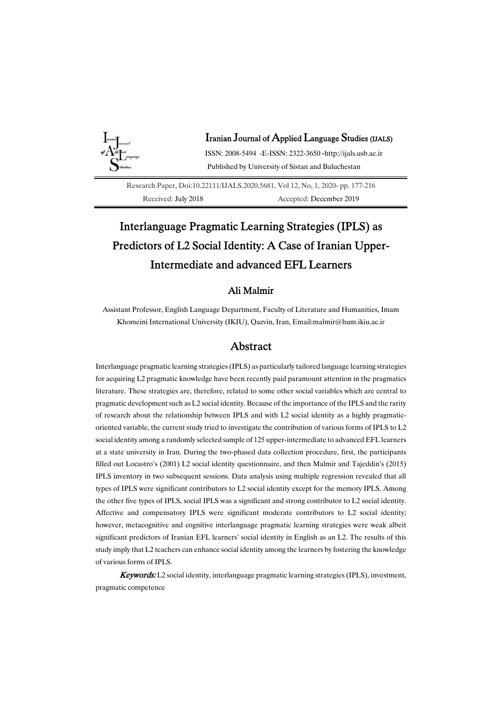

## Iranian Journal of Applied Language Studies (IJALS)

ISSN:2008-5494-E-ISSN:2322-3650-http://ijals.usb.ac.ir Published by University of Sistan and Baluchestan

Research Paper, Doi:10.22111/IJALS.2020.5681, Vol 12, No, 1, 2020-pp. 177-216 Received: July 2018<br>Accepted: December 2019

# Interlanguage Pragmatic Learning Strategies (IPLS) as Predictors of L2 Social Identity: A Case of Iranian Upper-Intermediate and advanced EFL Learners

## Ali Malmir

Assistant Professor, English Language Department, Faculty of Literature and Humanities, Imam Khomeini International University (IKIU), Qazvin, Iran, Email:malmir@hum.ikiu.ac.ir

# Abstract

Interlanguage pragmatic learning strategies (IPLS) as particularly tailored language learning strategies for acquiring L2 pragmatic knowledge have been recently paid paramount attention in the pragmatics literature. These strategies are, therefore, related to some other social variables which are central to pragmatic development such as L2 social identity. Because of the importance of the IPLS and the rarity of research about the relationship between IPLS and with L2 social identity as a highly pragmaticoriented variable, the current study tried to investigate the contribution of various forms of IPLS to L2 social identity among a randomly selected sample of 125 upper-intermediate to advanced EFL learners at a state university in Iran. During the two-phased data collection procedure, first, the participants filled out Locastro's (2001) L2 social identity questionnaire, and then Malmir and Tajeddin's (2015) IPLS inventory in two subsequent sessions. Data analysis using multiple regression revealed that all types of IPLS were significant contributors to L2 social identity except for the memory IPLS. Among the other five types of IPLS, social IPLS was a significant and strong contributor to L2 social identity. Affective and compensatory IPLS were significant moderate contributors to L2 social identity; however, metacognitive and cognitive interlanguage pragmatic learning strategies were weak albeit significant predictors of Iranian EFL learners' social identity in English as an L2. The results of this study imply that L2 teachers can enhance social identity among the learners by fostering the knowledge of various forms of IPLS.

**Keywords:** L2 social identity, interlanguage pragmatic learning strategies (IPLS), investment, pragmatic competence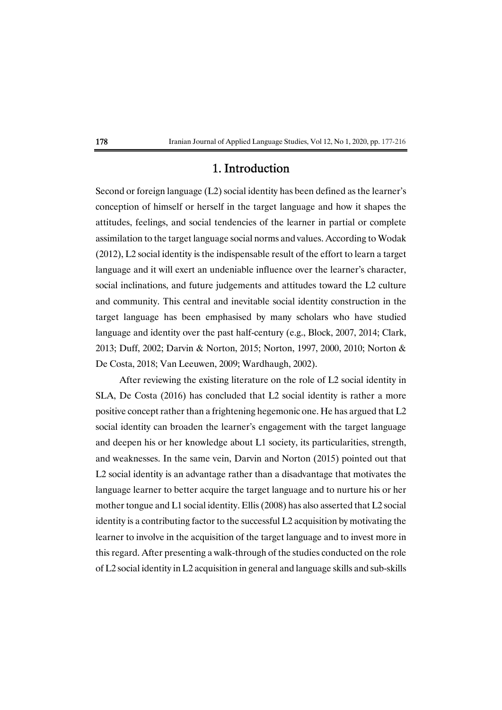# 1.Introduction

Second or foreign language  $(L2)$  social identity has been defined as the learner's conception of himself or herself in the target language and how it shapes the attitudes, feelings, and social tendencies of the learner in partial or complete assimilation to the target language social norms and values. According to Wodak  $(2012)$ , L2 social identity is the indispensable result of the effort to learn a target language and it will exert an undeniable influence over the learner's character, social inclinations, and future judgements and attitudes toward the L2 culture and community. This central and inevitable social identity construction in the target language has been emphasised by many scholars who have studied language and identity over the past half-century (e.g., Block, 2007, 2014; Clark, 2013; Duff, 2002; Darvin & Norton, 2015; Norton, 1997, 2000, 2010; Norton & De Costa, 2018; Van Leeuwen, 2009; Wardhaugh, 2002).

After reviewing the existing literature on the role of L2 social identity in SLA, De Costa (2016) has concluded that L2 social identity is rather a more positive concept rather than a frightening hegemonic one. He has argued that  $L2$ social identity can broaden the learner's engagement with the target language and deepen his or her knowledge about L1 society, its particularities, strength, and weaknesses. In the same vein, Darvin and Norton (2015) pointed out that L2 social identity is an advantage rather than a disadvantage that motivates the language learner to better acquire the target language and to nurture his or her mother tongue and L1 social identity. Ellis (2008) has also asserted that L2 social identity is a contributing factor to the successful  $L2$  acquisition by motivating the learner to involve in the acquisition of the target language and to invest more in this regard. After presenting a walk-through of the studies conducted on the role of L2 social identity in L2 acquisition in general and language skills and sub-skills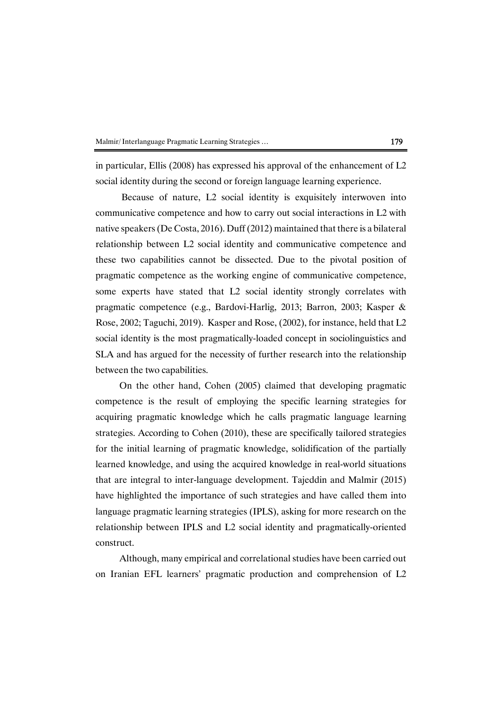| Malmir/Interlanguage Pragmatic Learning Strategies |  |
|----------------------------------------------------|--|
|----------------------------------------------------|--|

in particular, Ellis (2008) has expressed his approval of the enhancement of  $L2$ social identity during the second or foreign language learning experience.

Because of nature, L2 social identity is exquisitely interwoven into communicative competence and how to carry out social interactions in L2 with native speakers (De Costa, 2016). Duff (2012) maintained that there is a bilateral relationship between L2 social identity and communicative competence and these two capabilities cannot be dissected. Due to the pivotal position of pragmatic competence as the working engine of communicative competence, some experts have stated that L2 social identity strongly correlates with pragmatic competence (e.g., Bardovi-Harlig, 2013; Barron, 2003; Kasper & Rose, 2002; Taguchi, 2019). Kasper and Rose, (2002), for instance, held that L2 social identity is the most pragmatically-loaded concept in sociolinguistics and SLA and has argued for the necessity of further research into the relationship between the two capabilities.

On the other hand, Cohen (2005) claimed that developing pragmatic competence is the result of employing the specific learning strategies for acquiring pragmatic knowledge which he calls pragmatic language learning strategies. According to Cohen (2010), these are specifically tailored strategies for the initial learning of pragmatic knowledge, solidification of the partially learned knowledge, and using the acquired knowledge in real-world situations that are integral to inter-language development. Tajeddin and Malmir (2015) have highlighted the importance of such strategies and have called them into language pragmatic learning strategies (IPLS), asking for more research on the relationship between IPLS and L2 social identity and pragmatically-oriented construct.

Although, many empirical and correlational studies have been carried out on Iranian EFL learners' pragmatic production and comprehension of L2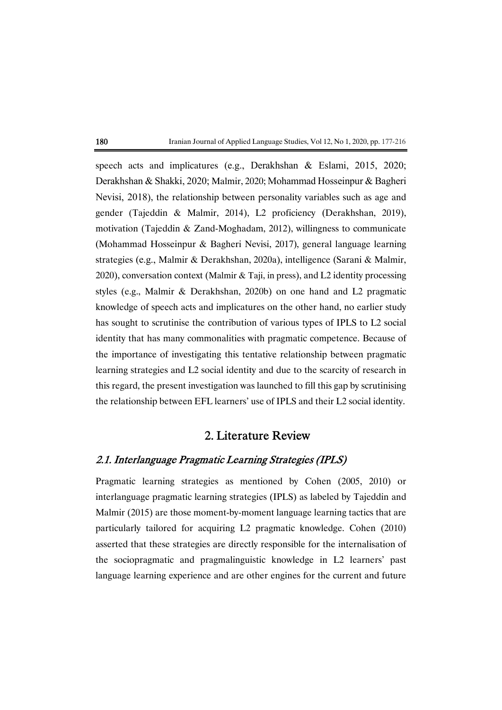speech acts and implicatures (e.g., Derakhshan & Eslami, 2015, 2020; Derakhshan & Shakki, 2020; Malmir, 2020; Mohammad Hosseinpur & Bagheri Nevisi, 2018), the relationship between personality variables such as age and gender (Tajeddin & Malmir, 2014), L2 proficiency (Derakhshan, 2019), motivation (Tajeddin & Zand-Moghadam, 2012), willingness to communicate (Mohammad Hosseinpur & Bagheri Nevisi, 2017), general language learning strategies (e.g., Malmir & Derakhshan, 2020a), intelligence (Sarani & Malmir, 2020), conversation context (Malmir & Taji, in press), and L2 identity processing styles (e.g., Malmir & Derakhshan, 2020b) on one hand and L2 pragmatic knowledge of speech acts and implicatures on the other hand, no earlier study has sought to scrutinise the contribution of various types of IPLS to L2 social identity that has many commonalities with pragmatic competence. Because of the importance of investigating this tentative relationship between pragmatic learning strategies and L2 social identity and due to the scarcity of research in this regard, the present investigation was launched to fill this gap by scrutinising the relationship between EFL learners' use of IPLS and their L2 social identity.

# 2. Literature Review

# 2.1. Interlanguage Pragmatic Learning Strategies (IPLS)

Pragmatic learning strategies as mentioned by Cohen (2005, 2010) or interlanguage pragmatic learning strategies (IPLS) as labeled by Tajeddin and Malmir (2015) are those moment-by-moment language learning tactics that are particularly tailored for acquiring L2 pragmatic knowledge. Cohen (2010) asserted that these strategies are directly responsible for the internalisation of the sociopragmatic and pragmalinguistic knowledge in L2 learners' past language learning experience and are other engines for the current and future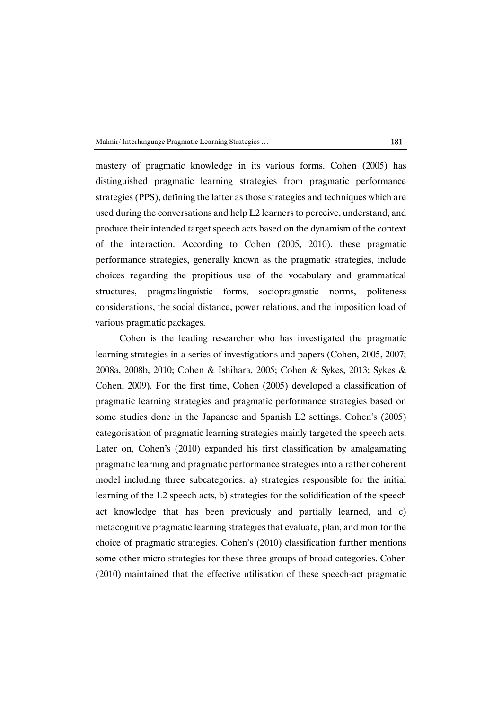Malmir/Interlanguage Pragmatic Learning Strategies ... 181

mastery of pragmatic knowledge in its various forms. Cohen (2005) has distinguished pragmatic learning strategies from pragmatic performance strategies (PPS), defining the latter as those strategies and techniques which are used during the conversations and help L2 learners to perceive, understand, and produce their intended target speech acts based on the dynamism of the context of the interaction. According to Cohen (2005, 2010), these pragmatic performance strategies, generally known as the pragmatic strategies, include choices regarding the propitious use of the vocabulary and grammatical structures, pragmalinguistic forms, sociopragmatic norms, politeness considerations, the social distance, power relations, and the imposition load of various pragmatic packages.

Cohen is the leading researcher who has investigated the pragmatic learning strategies in a series of investigations and papers (Cohen, 2005, 2007; 2008a, 2008b, 2010; Cohen & Ishihara, 2005; Cohen & Sykes, 2013; Sykes & Cohen, 2009). For the first time, Cohen (2005) developed a classification of pragmatic learning strategies and pragmatic performance strategies based on some studies done in the Japanese and Spanish L2 settings. Cohen's (2005) categorisation of pragmatic learning strategies mainly targeted the speech acts. Later on, Cohen's (2010) expanded his first classification by amalgamating pragmatic learning and pragmatic performance strategies into a rather coherent model including three subcategories: a) strategies responsible for the initial learning of the L2 speech acts, b) strategies for the solidification of the speech act knowledge that has been previously and partially learned, and c) metacognitive pragmatic learning strategies that evaluate, plan, and monitor the choice of pragmatic strategies. Cohen's  $(2010)$  classification further mentions some other micro strategies for these three groups of broad categories. Cohen (2010)maintained that the effective utilisation of these speech-act pragmatic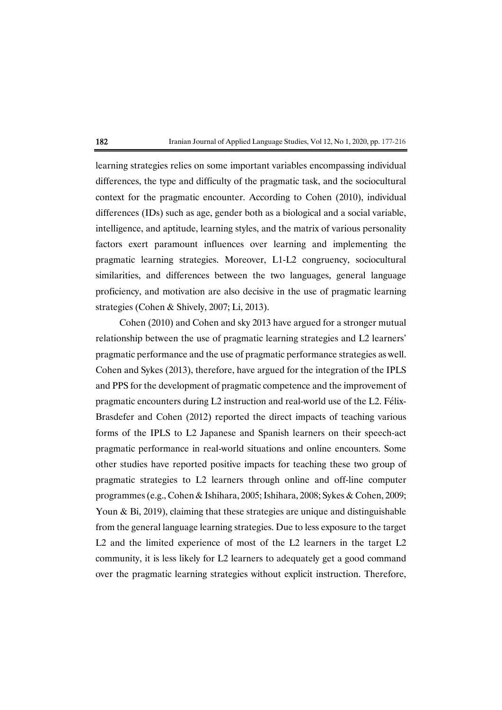learning strategies relies on some important variables encompassing individual differences, the type and difficulty of the pragmatic task, and the sociocultural context for the pragmatic encounter. According to Cohen (2010), individual differences (IDs) such as age, gender both as a biological and a social variable, intelligence, and aptitude, learning styles, and the matrix of various personality factors exert paramount influences over learning and implementing the pragmatic learning strategies. Moreover, L1-L2 congruency, sociocultural similarities, and differences between the two languages, general language proficiency, and motivation are also decisive in the use of pragmatic learning strategies (Cohen & Shively, 2007; Li, 2013).

Cohen (2010) and Cohen and sky 2013 have argued for a stronger mutual relationship between the use of pragmatic learning strategies and L2 learners' pragmatic performance and the use of pragmatic performance strategies as well. Cohen and Sykes (2013), therefore, have argued for the integration of the IPLS and PPS for the development of pragmatic competence and the improvement of pragmatic encounters during L2 instruction and real-world use of the L2. Félix-Brasdefer and Cohen (2012) reported the direct impacts of teaching various forms of the IPLS to L2 Japanese and Spanish learners on their speech-act pragmatic performance in real-world situations and online encounters. Some other studies have reported positive impacts for teaching these two group of pragmatic strategies to L2 learners through online and off-line computer programmes (e.g., Cohen & Ishihara, 2005; Ishihara, 2008; Sykes & Cohen, 2009; Youn & Bi, 2019), claiming that these strategies are unique and distinguishable from the general language learning strategies. Due to less exposure to the target L2 and the limited experience of most of the L2 learners in the target L2 community, it is less likely for L2 learners to adequately get a good command over the pragmatic learning strategies without explicit instruction. Therefore,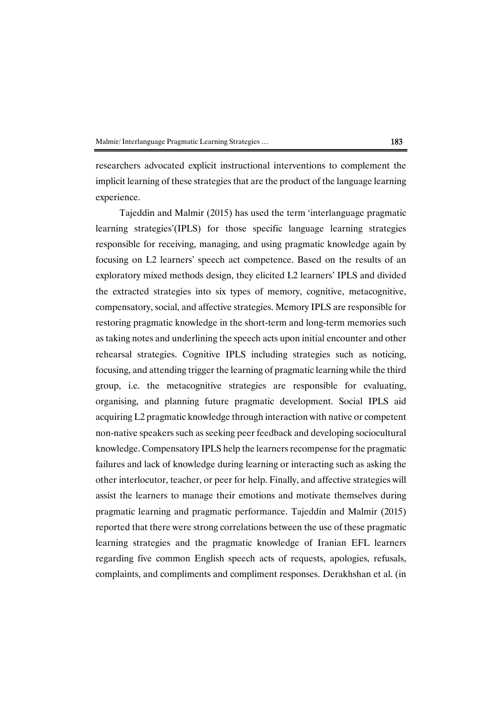researchers advocated explicit instructional interventions to complement the implicit learning of these strategies that are the product of the language learning experience.

Tajeddin and Malmir (2015) has used the term 'interlanguage pragmatic learning strategies'(IPLS) for those specific language learning strategies responsible for receiving, managing, and using pragmatic knowledge again by focusing on L2 learners' speech act competence. Based on the results of an exploratory mixed methods design, they elicited L2 learners' IPLS and divided the extracted strategies into six types of memory, cognitive, metacognitive, compensatory, social, and affective strategies. Memory IPLS are responsible for restoring pragmatic knowledge in the short-term and long-term memories such as taking notes and underlining the speech acts upon initial encounter and other rehearsal strategies. Cognitive IPLS including strategies such as noticing, focusing, and attending trigger the learning of pragmatic learning while the third group, i.e. the metacognitive strategies are responsible for evaluating, organising, and planning future pragmatic development. Social IPLS aid acquiring L2 pragmatic knowledge through interaction with native or competent non-native speakers such as seeking peer feedback and developing sociocultural knowledge. Compensatory IPLS help the learners recompense for the pragmatic failures and lack of knowledge during learning or interacting such as asking the other interlocutor, teacher, or peer for help. Finally, and affective strategies will assist the learners to manage their emotions andmotivate themselves during pragmatic learning and pragmatic performance. Tajeddin and Malmir (2015) reported that there were strong correlations between the use of these pragmatic learning strategies and the pragmatic knowledge of Iranian EFL learners regarding five common English speech acts of requests, apologies, refusals, complaints, and compliments and compliment responses. Derakhshan et al. (in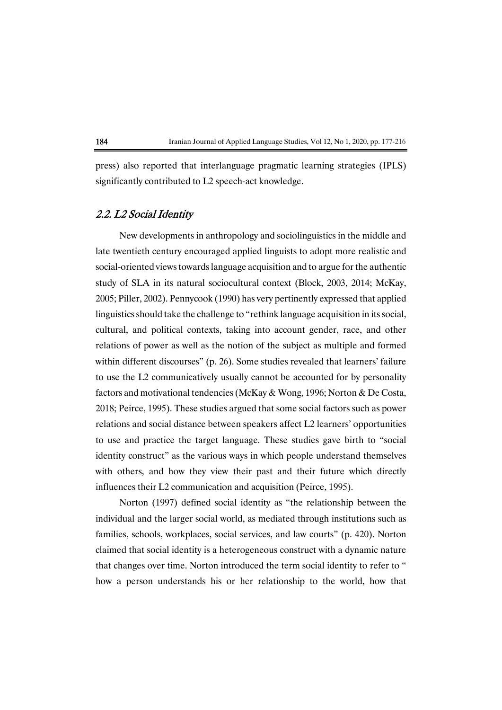press) also reported that interlanguage pragmatic learning strategies (IPLS) significantly contributed to L2 speech-act knowledge.

## 2.2. L2 Social Identity

New developments in anthropology and sociolinguistics in the middle and late twentieth century encouraged applied linguists to adopt more realistic and social-oriented views towards language acquisition and to argue for the authentic study of SLA in its natural sociocultural context (Block, 2003, 2014; McKay, 2005;Piller,2002).Pennycook(1990)hasverypertinentlyexpressedthatapplied linguistics should take the challenge to "rethink language acquisition in its social, cultural, and political contexts, taking into account gender, race, and other relations of power as well as the notion of the subject as multiple and formed within different discourses" (p. 26). Some studies revealed that learners' failure to use the L2 communicatively usually cannot be accounted for by personality factors and motivational tendencies (McKay & Wong, 1996; Norton & De Costa, 2018; Peirce, 1995). These studies argued that some social factors such as power relations and social distance between speakers affect L2 learners' opportunities to use and practice the target language. These studies gave birth to "social identity construct" as the various ways in which people understand themselves with others, and how they view their past and their future which directly influences their L2 communication and acquisition (Peirce, 1995).

Norton (1997) defined social identity as "the relationship between the individual and the larger social world, as mediated through institutions such as families, schools, workplaces, social services, and law courts" (p. 420). Norton claimed that social identity is a heterogeneous construct with a dynamic nature that changes over time. Norton introduced the term social identity to refer to " how a person understands his or her relationship to the world, how that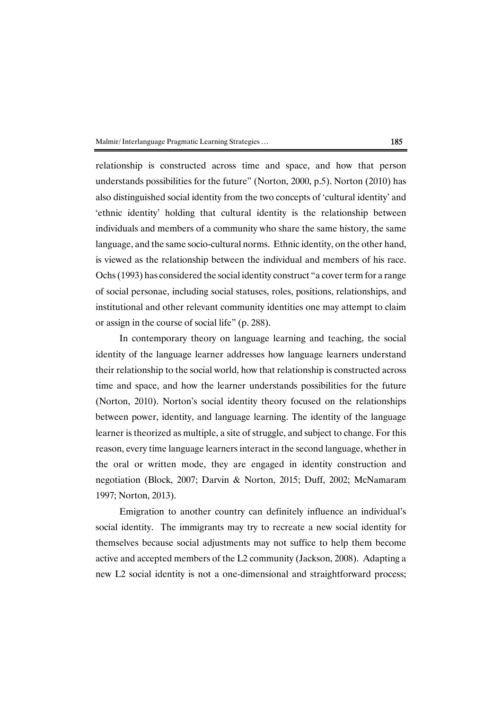Malmir/Interlanguage Pragmatic Learning Strategies ... (185

relationship is constructed across time and space, and how that person understands possibilities for the future" (Norton, 2000, p.5). Norton (2010) has also distinguished social identity from the two concepts of 'cultural identity' and 'ethnic identity' holding that cultural identity is the relationship between individuals and members of a community who share the same history, the same language, and the same socio-cultural norms. Ethnic identity, on the other hand, is viewed as the relationship between the individual and members of his race. Ochs (1993) has considered the social identity construct "a cover term for a range of social personae, including social statuses, roles, positions, relationships, and institutional and other relevant community identities one may attempt to claim or assign in the course of social life" (p. 288).

In contemporary theory on language learning and teaching, the social identity of the language learner addresses how language learners understand their relationship to the social world, how that relationship is constructed across time and space, and how the learner understands possibilities for the future (Norton, 2010). Norton's social identity theory focused on the relationships between power, identity, and language learning. The identity of the language learner is theorized as multiple, a site of struggle, and subject to change. For this reason, every time language learners interact in the second language, whether in the oral or written mode, they are engaged in identity construction and negotiation (Block, 2007; Darvin & Norton, 2015; Duff, 2002; McNamaram 1997; Norton, 2013).

Emigration to another country can definitely influence an individual's social identity. The immigrants may try to recreate a new social identity for themselves because social adjustments may not suffice to help them become active and accepted members of the L2 community (Jackson, 2008). Adapting a new L2 social identity is not a one-dimensional and straightforward process;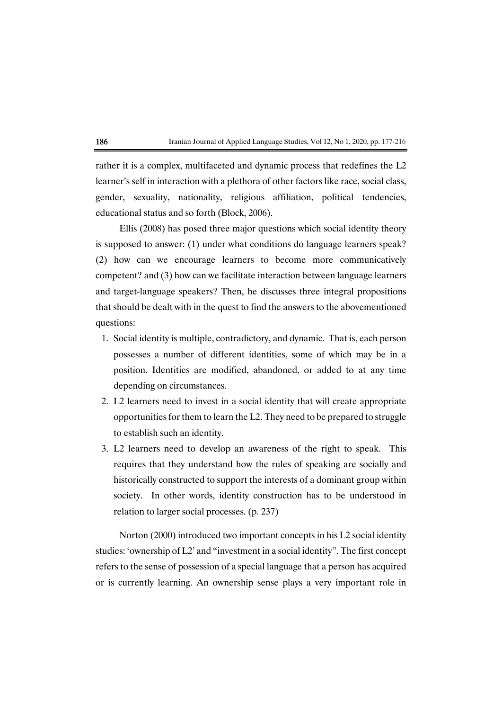

rather it is a complex, multifaceted and dynamic process that redefines the L2 learner's self in interaction with a plethora of other factors like race, social class, gender, sexuality, nationality, religious affiliation, political tendencies, educational status and so forth (Block, 2006).

Ellis (2008) has posed three major questions which social identity theory is supposed to answer: (1) under what conditions do language learners speak? (2) how can we encourage learners to become more communicatively competent? and (3) how can we facilitate interaction between language learners and target-language speakers? Then, he discusses three integral propositions that should be dealt with in the quest to find the answers to the abovementioned questions:

- 1. Social identity is multiple, contradictory, and dynamic. That is, each person possesses a number of different identities, some of which may be in a position. Identities are modified, abandoned, or added to at any time depending on circumstances.
- 2. L2 learners need to invest in a social identity that will create appropriate opportunities for them to learn the L2. They need to be prepared to struggle to establish such an identity.
- 3. L2 learners need to develop an awareness of the right to speak. This requires that they understand how the rules of speaking are socially and historically constructed to support the interests of a dominant group within society. In other words, identity construction has to be understood in relation to larger social processes. (p. 237)

Norton (2000) introduced two important concepts in his  $L2$  social identity studies: 'ownership of L2' and "investment in a social identity". The first concept refers to the sense of possession of a special language that a person has acquired or is currently learning. An ownership sense plays a very important role in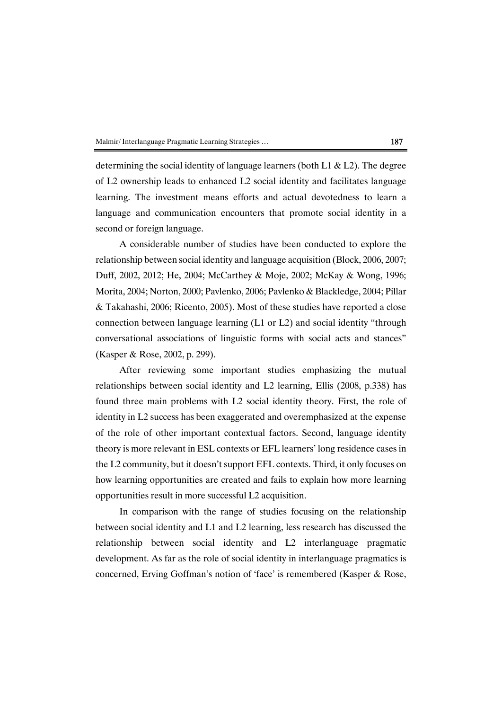determining the social identity of language learners (both L1  $\&$  L2). The degree of L2 ownership leads to enhanced L2 social identity and facilitates language learning. The investment means efforts and actual devotedness to learn a language and communication encounters that promote social identity in a second or foreign language.

A considerable number of studies have been conducted to explore the relationship between social identity and language acquisition (Block, 2006, 2007; Duff, 2002, 2012; He, 2004; McCarthey & Moje, 2002; McKay & Wong, 1996; Morita, 2004; Norton, 2000; Pavlenko, 2006; Pavlenko & Blackledge, 2004; Pillar & Takahashi, 2006; Ricento, 2005). Most of these studies have reported a close connection between language learning  $(L1 \text{ or } L2)$  and social identity "through conversational associations of linguistic forms with social acts and stances" (Kasper & Rose, 2002, p. 299).

After reviewing some important studies emphasizing the mutual relationships between social identity and L2 learning, Ellis (2008, p.338) has found three main problems with L2 social identity theory. First, the role of identity in L2 success has been exaggerated and overemphasized at the expense of the role of other important contextual factors. Second, language identity theory is more relevant in ESL contexts or EFL learners' long residence cases in the L2 community, but it doesn't support EFL contexts. Third, it only focuses on how learning opportunities are created and fails to explain how more learning opportunities result in more successful L2 acquisition.

In comparison with the range of studies focusing on the relationship between social identity and L1 and L2 learning, less research has discussed the relationship between social identity and L2 interlanguage pragmatic development. As far as the role of social identity in interlanguage pragmatics is concerned, Erving Goffman's notion of 'face' is remembered (Kasper & Rose,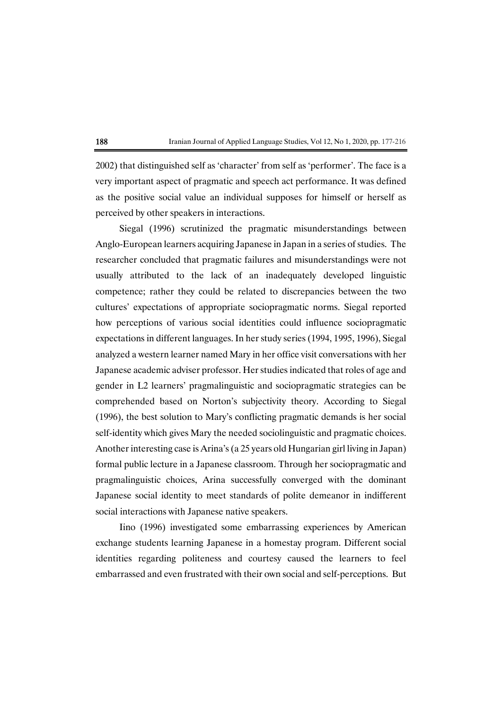2002) that distinguished self as 'character' from self as 'performer'. The face is a very important aspect of pragmatic and speech act performance. It was defined as the positive social value an individual supposes for himself or herself as perceived by other speakers in interactions.

Siegal (1996) scrutinized the pragmatic misunderstandings between Anglo-European learners acquiring Japanese in Japan in a series of studies. The researcher concluded that pragmatic failures and misunderstandings were not usually attributed to the lack of an inadequately developed linguistic competence; rather they could be related to discrepancies between the two cultures' expectations of appropriate sociopragmatic norms. Siegal reported how perceptions of various social identities could influence sociopragmatic expectations in different languages. In her study series (1994, 1995, 1996), Siegal analyzed a western learner named Mary in her office visit conversations with her Japanese academic adviser professor. Her studies indicated that roles of age and gender in L2 learners' pragmalinguistic and sociopragmatic strategies can be comprehended based on Norton's subjectivity theory. According to Siegal  $(1996)$ , the best solution to Mary's conflicting pragmatic demands is her social self-identity which gives Mary the needed sociolinguistic and pragmatic choices. Another interesting case is Arina's (a 25 years old Hungarian girl living in Japan) formal public lecture in a Japanese classroom. Through her sociopragmatic and pragmalinguistic choices, Arina successfully converged with the dominant Japanese social identity to meet standards of polite demeanor in indifferent social interactions with Japanese native speakers.

Iino (1996) investigated some embarrassing experiences by American exchange students learning Japanese in a homestay program. Different social identities regarding politeness and courtesy caused the learners to feel embarrassed and even frustrated with their own social and self-perceptions. But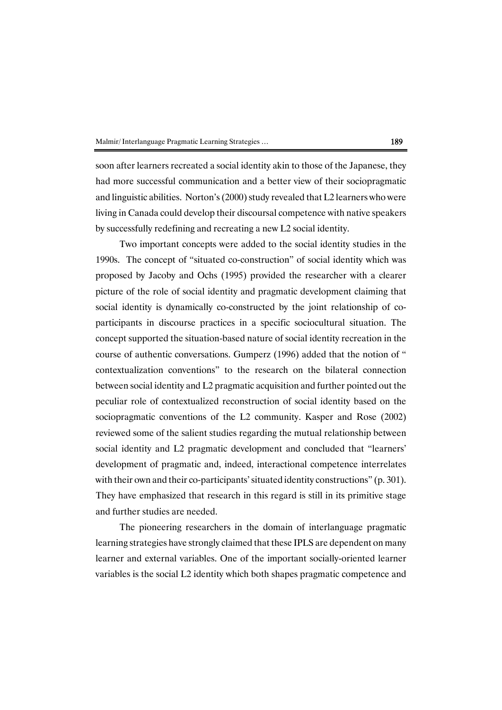soon after learners recreated a social identity akin to those of the Japanese, they had more successful communication and a better view of their sociopragmatic and linguistic abilities. Norton's  $(2000)$  study revealed that L2 learners who were living in Canada could develop their discoursal competence with native speakers by successfully redefining and recreating a new L2 social identity.

Two important concepts were added to the social identity studies in the 1990s. The concept of "situated co-construction" of social identity which was proposed by Jacoby and Ochs (1995) provided the researcher with a clearer picture of the role of social identity and pragmatic development claiming that social identity is dynamically co-constructed by the joint relationship of coparticipants in discourse practices in a specific sociocultural situation. The concept supported the situation-based nature of social identity recreation in the course of authentic conversations. Gumperz (1996) added that the notion of " contextualization conventions" to the research on the bilateral connection between social identity and L2 pragmatic acquisition and further pointed out the peculiar role of contextualized reconstruction of social identity based on the sociopragmatic conventions of the L2 community. Kasper and Rose (2002) reviewed some of the salient studies regarding the mutual relationship between social identity and L2 pragmatic development and concluded that "learners' development of pragmatic and, indeed, interactional competence interrelates with their own and their co-participants' situated identity constructions"  $(p.301)$ . They have emphasized that research in this regard is still in its primitive stage and further studies are needed.

The pioneering researchers in the domain of interlanguage pragmatic learning strategies have strongly claimed that these IPLS are dependent on many learner and external variables. One of the important socially-oriented learner variables is the social L2 identity which both shapes pragmatic competence and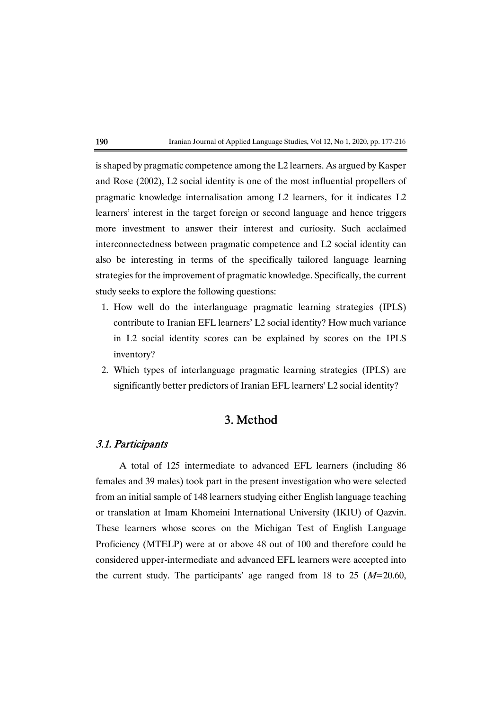

is shaped by pragmatic competence among the L2 learners. As argued by Kasper and Rose (2002), L2 social identity is one of the most influential propellers of pragmatic knowledge internalisation among L2 learners, for it indicates L2 learners' interest in the target foreign or second language and hence triggers more investment to answer their interest and curiosity. Such acclaimed interconnectedness between pragmatic competence and L2 social identity can also be interesting in terms of the specifically tailored language learning strategies for the improvement of pragmatic knowledge. Specifically, the current study seeks to explore the following questions:

- 1. How well do the interlanguage pragmatic learning strategies (IPLS) contribute to Iranian EFL learners' L2 social identity? How much variance in L2 social identity scores can be explained by scores on the IPLS inventory?
- 2. Which types of interlanguage pragmatic learning strategies (IPLS) are significantly better predictors of Iranian EFL learners' L2 social identity?

# 3.Method

# 3.1.Participants

A total of 125 intermediate to advanced EFL learners (including 86 females and 39 males) took part in the present investigation who were selected from an initial sample of 148 learners studying either English language teaching or translation at Imam Khomeini International University (IKIU) of Oazvin. These learners whose scores on the Michigan Test of English Language Proficiency (MTELP) were at or above 48 out of 100 and therefore could be considered upper-intermediate and advanced EFL learners were accepted into the current study. The participants' age ranged from 18 to 25  $(M=20.60,$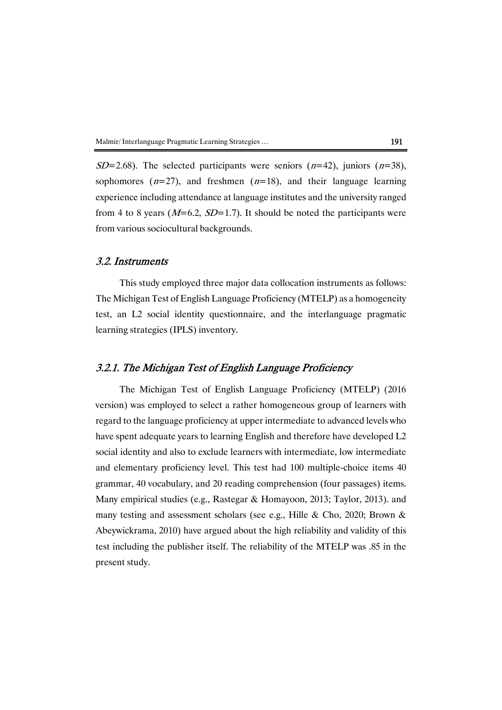$SD=2.68$ ). The selected participants were seniors ( $n=42$ ), juniors ( $n=38$ ), sophomores  $(n=27)$ , and freshmen  $(n=18)$ , and their language learning experience including attendance at language institutes and the university ranged from 4 to 8 years ( $M=6.2$ ,  $SD=1.7$ ). It should be noted the participants were from various sociocultural backgrounds.

## 3.2. Instruments

This study employed three major data collocation instruments as follows: The Michigan Test of English Language Proficiency (MTELP) as a homogeneity test, an L2 social identity questionnaire, and the interlanguage pragmatic learning strategies (IPLS) inventory.

# 3.2.1. The Michigan Test of English Language Proficiency

The Michigan Test of English Language Proficiency (MTELP) (2016 version) was employed to select a rather homogeneous group of learners with regard to the language proficiency at upper intermediate to advanced levels who have spent adequate years to learning English and therefore have developed L2 social identity and also to exclude learners with intermediate, low intermediate and elementary proficiency level. This test had 100 multiple-choice items 40 grammar, 40 vocabulary, and 20 reading comprehension (four passages) items. Many empirical studies (e.g., Rastegar & Homayoon, 2013; Taylor, 2013). and many testing and assessment scholars (see e.g., Hille & Cho, 2020; Brown & Abeywickrama, 2010) have argued about the high reliability and validity of this test including the publisher itself. The reliability of the MTELP was  $.85$  in the present study.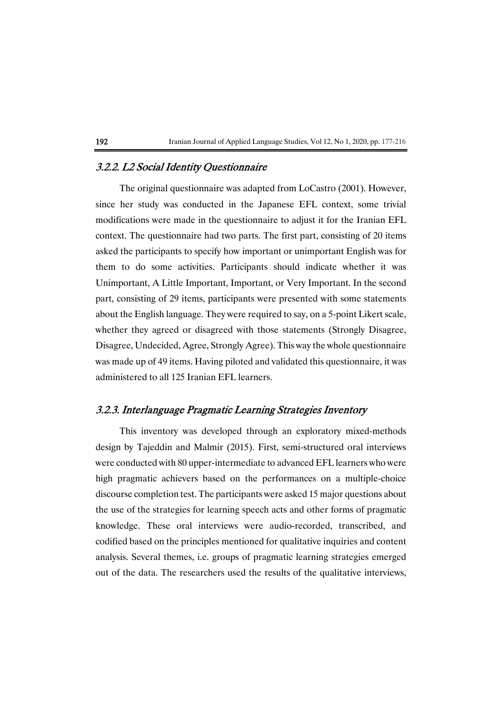# 3.2.2. L2 Social Identity Questionnaire

The original questionnaire was adapted from LoCastro (2001). However, since her study was conducted in the Japanese EFL context, some trivial modifications were made in the questionnaire to adjust it for the Iranian EFL context. The questionnaire had two parts. The first part, consisting of 20 items asked the participants to specify how important or unimportant English was for them to do some activities. Participants should indicate whether it was Unimportant, A Little Important, Important, or Very Important. In the second part, consisting of 29 items, participants were presented with some statements about the English language. They were required to say, on a 5-point Likert scale, whether they agreed or disagreed with those statements (Strongly Disagree, Disagree, Undecided, Agree, Strongly Agree). This way the whole questionnaire was made up of 49 items. Having piloted and validated this questionnaire, it was administered to all 125 Iranian EFL learners.

# 3.2.3. Interlanguage Pragmatic Learning Strategies Inventory

This inventory was developed through an exploratory mixed-methods design by Tajeddin and Malmir (2015). First, semi-structured oral interviews were conducted with 80 upper-intermediate to advanced EFL learners who were high pragmatic achievers based on the performances on a multiple-choice discourse completion test. The participants were asked 15 major questions about the use of the strategies for learning speech acts and other forms of pragmatic knowledge. These oral interviews were audio-recorded, transcribed, and codified based on the principles mentioned for qualitative inquiries and content analysis. Several themes, i.e. groups of pragmatic learning strategies emerged out of the data. The researchers used the results of the qualitative interviews,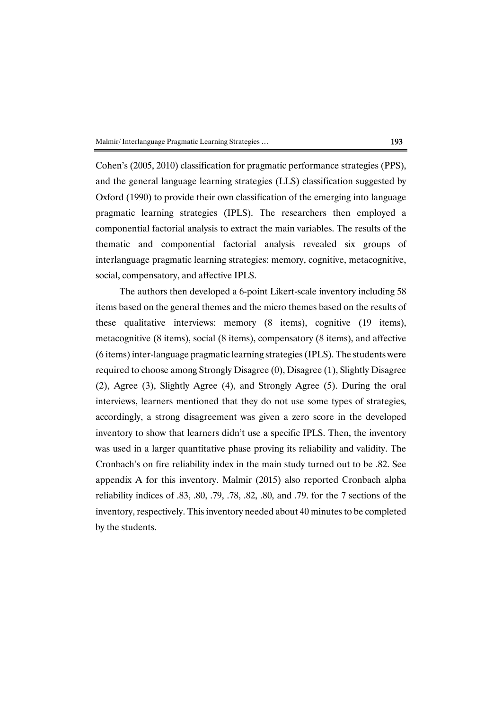Cohen's (2005, 2010) classification for pragmatic performance strategies (PPS), and the general language learning strategies (LLS) classification suggested by Oxford (1990) to provide their own classification of the emerging into language pragmatic learning strategies (IPLS). The researchers then employed a componential factorial analysis to extract the main variables. The results of the thematic and componential factorial analysis revealed six groups of interlanguage pragmatic learning strategies: memory, cognitive, metacognitive, social, compensatory, and affective IPLS.

The authors then developed a 6-point Likert-scale inventory including 58 items based on the general themes and the micro themes based on the results of these qualitative interviews: memory (8 items), cognitive (19 items), metacognitive (8 items), social (8 items), compensatory (8 items), and affective (6items)inter-languagepragmaticlearningstrategies(IPLS).Thestudentswere required to choose among Strongly Disagree (0), Disagree (1), Slightly Disagree (2), Agree (3), Slightly Agree (4), and Strongly Agree (5). During the oral interviews, learners mentioned that they do not use some types of strategies, accordingly, a strong disagreement was given a zero score in the developed inventory to show that learners didn't use a specific IPLS. Then, the inventory was used in a larger quantitative phase proving its reliability and validity. The Cronbach's on fire reliability index in the main study turned out to be .82. See appendix A for this inventory. Malmir (2015) also reported Cronbach alpha reliability indices of  $.83, .80, .79, .78, .82, .80,$  and  $.79$ . for the 7 sections of the inventory, respectively. This inventory needed about 40 minutes to be completed by the students.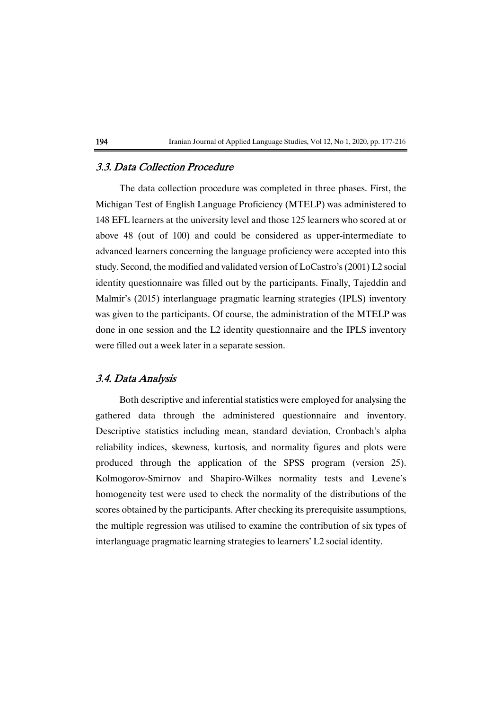# 3.3. Data Collection Procedure

The data collection procedure was completed in three phases. First, the Michigan Test of English Language Proficiency (MTELP) was administered to 148 EFL learners at the university level and those 125 learners who scored at or above 48 (out of 100) and could be considered as upper-intermediate to advanced learners concerning the language proficiency were accepted into this study. Second, the modified and validated version of LoCastro's (2001) L2 social identity questionnaire was filled out by the participants. Finally, Tajeddin and Malmir's (2015) interlanguage pragmatic learning strategies (IPLS) inventory was given to the participants. Of course, the administration of the MTELP was done in one session and the L2 identity questionnaire and the IPLS inventory were filled out a week later in a separate session.

# 3.4.DataAnalysis

Both descriptive and inferential statistics were employed for analysing the gathered data through the administered questionnaire and inventory. Descriptive statistics including mean, standard deviation, Cronbach's alpha reliability indices, skewness, kurtosis, and normality figures and plots were produced through the application of the SPSS program (version 25). Kolmogorov-Smirnov and Shapiro-Wilkes normality tests and Levene's homogeneity test were used to check the normality of the distributions of the scores obtained by the participants. After checking its prerequisite assumptions, the multiple regression was utilised to examine the contribution of six types of interlanguage pragmatic learning strategies to learners' L2 social identity.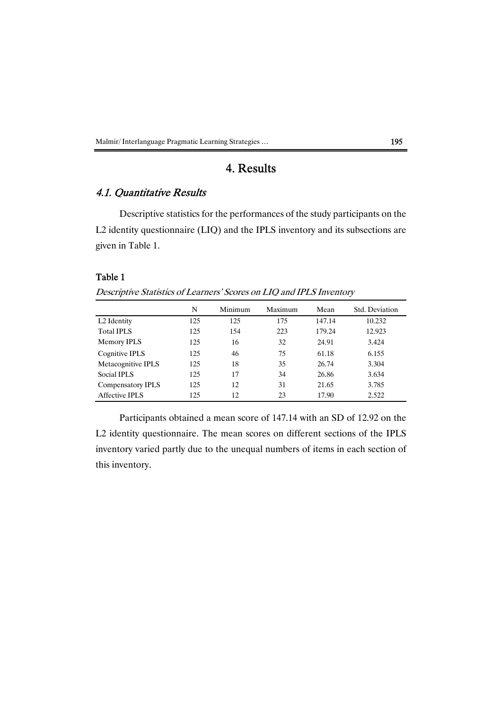Malmir/Interlanguage Pragmatic Learning Strategies ... 195

# 4.Results

# 4.1. Quantitative Results

Descriptive statistics for the performances of the study participants on the L2 identity questionnaire (LIQ) and the IPLS inventory and its subsections are given in Table 1.

### Table 1

Descriptive Statistics of Learners' Scores on LIQ and IPLS Inventory

|                         | N   | Minimum | Maximum | Mean   | Std. Deviation |
|-------------------------|-----|---------|---------|--------|----------------|
| L <sub>2</sub> Identity | 125 | 125     | 175     | 147.14 | 10.232         |
| <b>Total IPLS</b>       | 125 | 154     | 223     | 179.24 | 12.923         |
| Memory IPLS             | 125 | 16      | 32      | 24.91  | 3.424          |
| Cognitive IPLS          | 125 | 46      | 75      | 61.18  | 6.155          |
| Metacognitive IPLS      | 125 | 18      | 35      | 26.74  | 3.304          |
| Social IPLS             | 125 | 17      | 34      | 26.86  | 3.634          |
| Compensatory IPLS       | 125 | 12      | 31      | 21.65  | 3.785          |
| Affective IPLS          | 125 | 12      | 23      | 17.90  | 2.522          |

Participants obtained a mean score of 147.14 with an SD of 12.92 on the L2 identity questionnaire. The mean scores on different sections of the IPLS inventory varied partly due to the unequal numbers of items in each section of this inventory.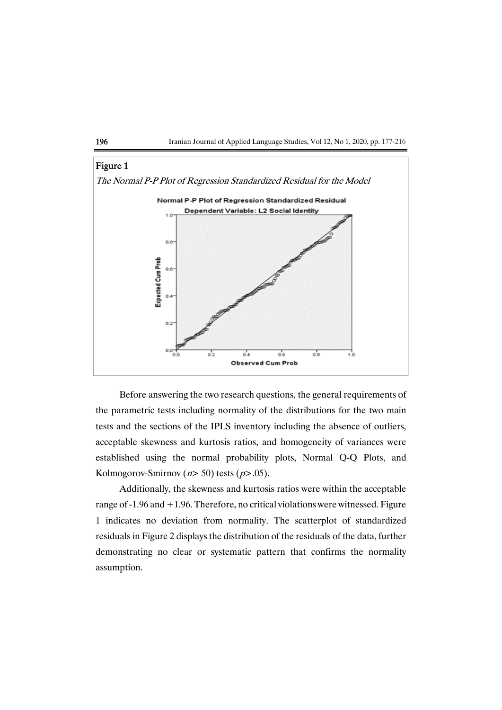



Before answering the two research questions, the general requirements of the parametric tests including normality of the distributions for the two main tests and the sections of the IPLS inventory including the absence of outliers, acceptable skewness and kurtosis ratios, and homogeneity of variances were established using the normal probability plots, Normal Q-Q Plots, and Kolmogorov-Smirnov ( $n$  > 50) tests ( $p$  > 05).

Additionally, the skewness and kurtosis ratios were within the acceptable range of  $-1.96$  and  $+1.96$ . Therefore, no critical violations were witnessed. Figure 1 indicates no deviation from normality. The scatterplot of standardized residuals in Figure 2 displays the distribution of the residuals of the data, further demonstrating no clear or systematic pattern that confirms the normality assumption.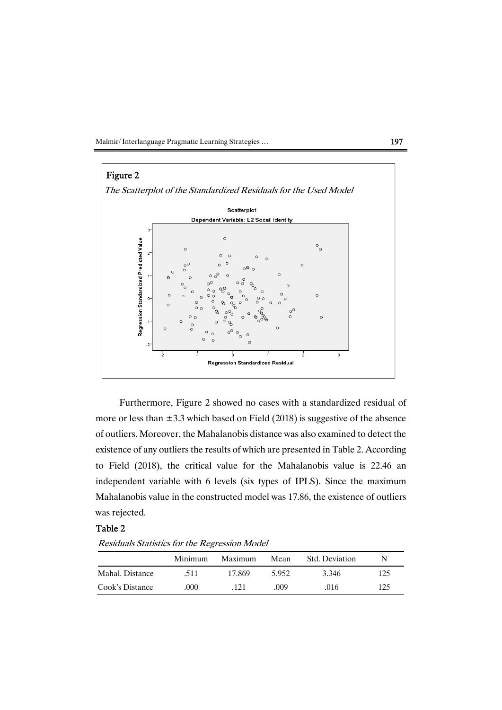Malmir/Interlanguage Pragmatic Learning Strategies ... (197



Furthermore, Figure 2 showed no cases with a standardized residual of more or less than  $\pm 3.3$  which based on Field (2018) is suggestive of the absence of outliers. Moreover, the Mahalanobis distance was also examined to detect the existence of any outliers the results of which are presented in Table 2. According to Field (2018), the critical value for the Mahalanobis value is 22.46 an independent variable with 6 levels (six types of IPLS). Since the maximum Mahalanobis value in the constructed model was 17.86, the existence of outliers was rejected.

### Table 2

Residuals Statistics for the Regression Model

|                 | Minimum | Maximum | Mean  | <b>Std.</b> Deviation | N   |
|-----------------|---------|---------|-------|-----------------------|-----|
| Mahal. Distance | -511    | 17.869  | 5.952 | 3.346                 | 125 |
| Cook's Distance | .000    | 121     | .009  | .016                  | 125 |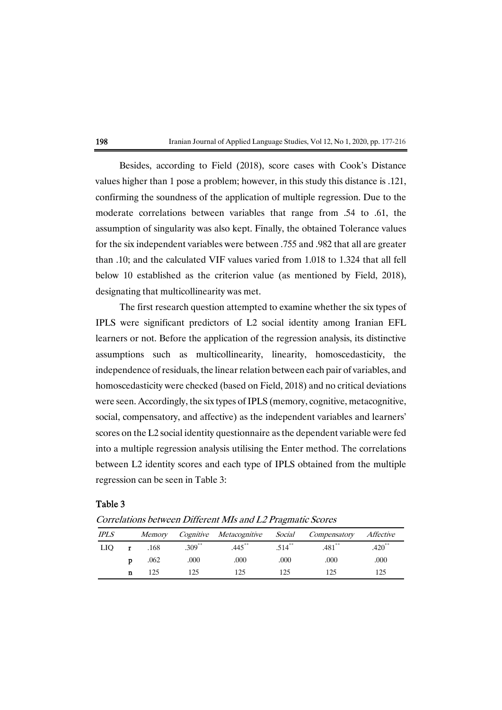| 198<br>Iranian Journal of Applied Language Studies, Vol 12, No 1, 2020, pp. 177-216 |  |
|-------------------------------------------------------------------------------------|--|
|-------------------------------------------------------------------------------------|--|

Besides, according to Field (2018), score cases with Cook's Distance values higher than 1 pose a problem; however, in this study this distance is .121, confirming the soundness of the application of multiple regression. Due to the moderate correlations between variables that range from .54 to .61, the assumption of singularity was also kept. Finally, the obtained Tolerance values for the six independent variables were between .755 and .982 that all are greater than .10; and the calculated VIF values varied from 1.018 to 1.324 that all fell below 10 established as the criterion value (as mentioned by Field, 2018), designating that multicollinearity was met.

The first research question attempted to examine whether the six types of IPLS were significant predictors of L2 social identity among Iranian EFL learners or not. Before the application of the regression analysis, its distinctive assumptions such as multicollinearity, linearity, homoscedasticity, the independence of residuals, the linear relation between each pair of variables, and homoscedasticity were checked (based on Field, 2018) and no critical deviations were seen. Accordingly, the six types of IPLS (memory, cognitive, metacognitive, social, compensatory, and affective) as the independent variables and learners' scores on the L2 social identity questionnaire as the dependent variable were fed into a multiple regression analysis utilising the Enter method. The correlations between L2 identity scores and each type of IPLS obtained from the multiple regression can be seen in Table 3:

## Table 3

| <b>IPLS</b> |   | <i>Memory</i> |           | Cognitive Metacognitive Social |           | Compensatory         | Affective            |
|-------------|---|---------------|-----------|--------------------------------|-----------|----------------------|----------------------|
| LIO.        |   | .168          | $.309***$ | $.445***$                      | $.514***$ | $.481$ <sup>**</sup> | $.420$ <sup>**</sup> |
|             | D | .062          | .000      | .000                           | .000      | .000                 | .000                 |
|             |   | 125           | 125       | 125                            | 125       |                      | l 25                 |

Correlations between Different MIs and L2 Pragmatic Scores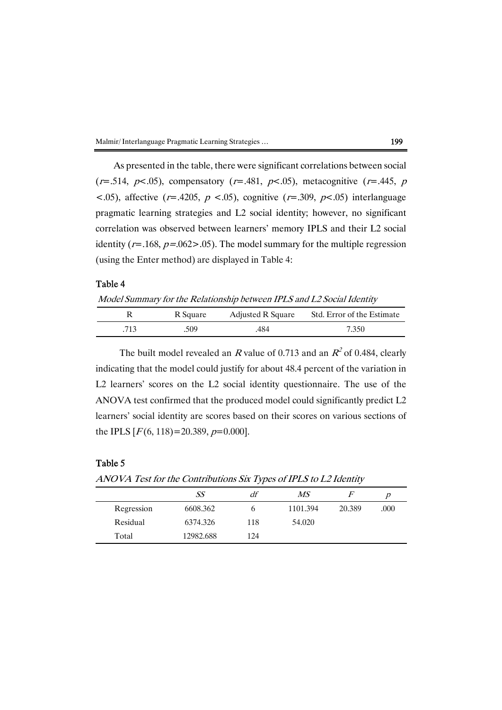| Malmir/Interlanguage Pragmatic Learning Strategies | 199 |
|----------------------------------------------------|-----|
|----------------------------------------------------|-----|

As presented in the table, there were significant correlations between social  $(r=.514, p<.05)$ , compensatory  $(r=.481, p<.05)$ , metacognitive  $(r=.445, p<.05)$  $\langle .05 \rangle$ , affective (r=.4205, p  $\langle .05 \rangle$ , cognitive (r=.309, p $\langle .05 \rangle$ ) interlanguage pragmatic learning strategies and L2 social identity; however, no significant correlation was observed between learners' memory IPLS and their L2 social identity ( $r = .168$ ,  $p = .062 > .05$ ). The model summary for the multiple regression (using the Enter method) are displayed in Table 4:

## Table 4

Model Summary for the Relationship between IPLS and L2 Social Identity

|     | R Square | Adjusted R Square | Std. Error of the Estimate |
|-----|----------|-------------------|----------------------------|
| 713 | 509      | 484               | 7.350                      |

The built model revealed an R value of 0.713 and an  $R^2$  of 0.484, clearly indicating that the model could justify for about 48.4 percent of the variation in L2 learners' scores on the L2 social identity questionnaire. The use of the ANOVA test confirmed that the produced model could significantly predict  $L2$ learners' social identity are scores based on their scores on various sections of the IPLS  $[F(6, 118)=20.389, p=0.000]$ .

# Table 5

ANOVA Test for the Contributions Six Types of IPLS to L2 Identity

|            | SS        | df  | MS       |        |      |
|------------|-----------|-----|----------|--------|------|
| Regression | 6608.362  |     | 1101.394 | 20.389 | .000 |
| Residual   | 6374.326  | 118 | 54.020   |        |      |
| Total      | 12982.688 | 124 |          |        |      |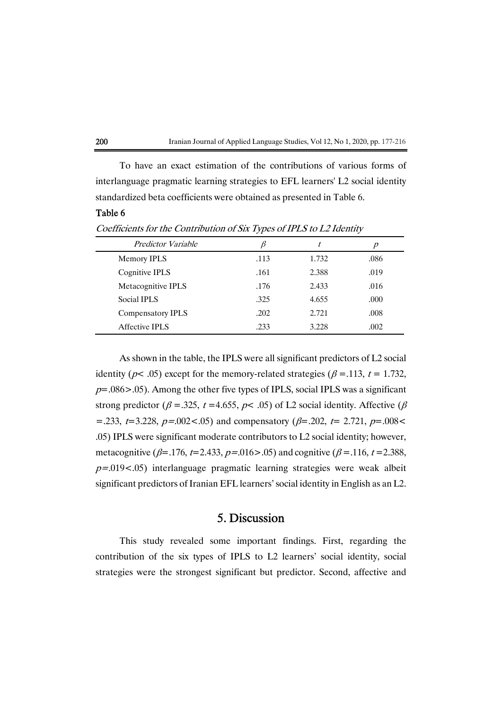

To have an exact estimation of the contributions of various forms of interlanguage pragmatic learning strategies to EFL learners' L2 social identity standardized beta coefficients were obtained as presented in Table 6.

## Table 6

Coefficients for the Contribution of Six Types of IPLS to L2 Identity

| <b>Predictor Variable</b> |      | t     | p    |
|---------------------------|------|-------|------|
| Memory IPLS               | .113 | 1.732 | .086 |
| Cognitive IPLS            | .161 | 2.388 | .019 |
| Metacognitive IPLS        | .176 | 2.433 | .016 |
| Social IPLS               | .325 | 4.655 | .000 |
| <b>Compensatory IPLS</b>  | .202 | 2.721 | .008 |
| Affective IPLS            | .233 | 3.228 | .002 |

As shown in the table, the IPLS were all significant predictors of L2 social identity ( $p$ < .05) except for the memory-related strategies ( $\beta$  = .113,  $t = 1.732$ ,  $p=.086>0.05$ . Among the other five types of IPLS, social IPLS was a significant strong predictor ( $\beta$  = .325, t = 4.655, p < .05) of L2 social identity. Affective ( $\beta$ =.233, t=3.228, p=.002<.05) and compensatory ( $\beta$ =.202, t= 2.721, p=.008< .05) IPLS were significant moderate contributors to L2 social identity; however, metacognitive ( $\beta$ =.176, t=2.433, p=.016>.05) and cognitive ( $\beta$ =.116, t=2.388,  $p=0.019<0.05$ ) interlanguage pragmatic learning strategies were weak albeit significant predictors of Iranian EFL learners' social identity in English as an L2.

# 5.Discussion

This study revealed some important findings. First, regarding the contribution of the six types of IPLS to L2 learners' social identity, social strategies were the strongest significant but predictor. Second, affective and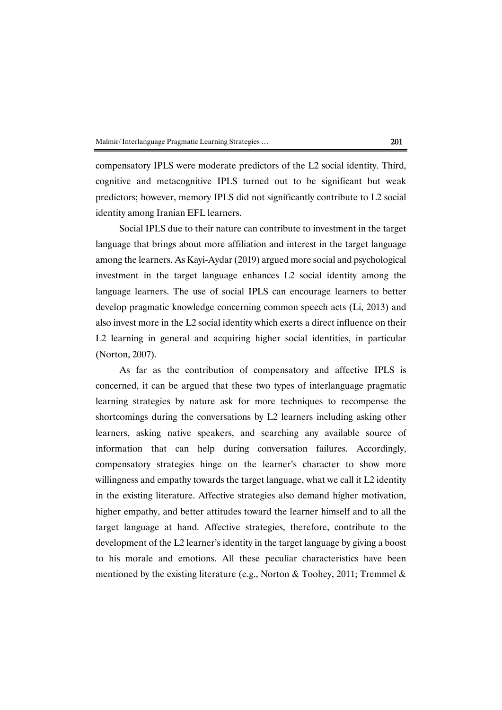compensatory IPLS were moderate predictors of the L2 social identity. Third, cognitive and metacognitive IPLS turned out to be significant but weak predictors; however, memory IPLS did not significantly contribute to L2 social identity among Iranian EFL learners.

Social IPLS due to their nature can contribute to investment in the target language that brings about more affiliation and interest in the target language among the learners. As Kayi-Aydar (2019) argued more social and psychological investment in the target language enhances L2 social identity among the language learners. The use of social IPLS can encourage learners to better develop pragmatic knowledge concerning common speech acts (Li, 2013) and also invest more in the L2 social identity which exerts a direct influence on their L2 learning in general and acquiring higher social identities, in particular (Norton,2007).

As far as the contribution of compensatory and affective IPLS is concerned, it can be argued that these two types of interlanguage pragmatic learning strategies by nature ask for more techniques to recompense the shortcomings during the conversations by L2 learners including asking other learners, asking native speakers, and searching any available source of information that can help during conversation failures. Accordingly, compensatory strategies hinge on the learner's character to show more willingness and empathy towards the target language, what we call it L2 identity in the existing literature. Affective strategies also demand higher motivation, higher empathy, and better attitudes toward the learner himself and to all the target language at hand. Affective strategies, therefore, contribute to the development of the L2 learner's identity in the target language by giving a boost to his morale and emotions. All these peculiar characteristics have been mentioned by the existing literature (e.g., Norton & Toohey, 2011; Tremmel &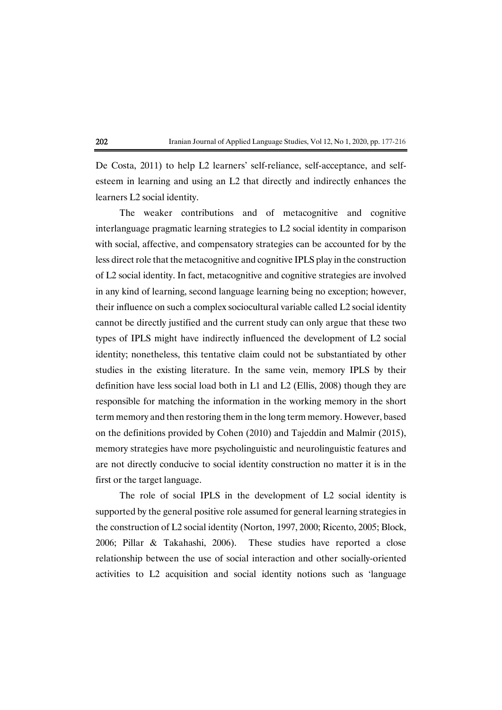De Costa, 2011) to help L2 learners' self-reliance, self-acceptance, and selfesteem in learning and using an L2 that directly and indirectly enhances the learners L2 social identity.

The weaker contributions and of metacognitive and cognitive interlanguage pragmatic learning strategies to L2 social identity in comparison with social, affective, and compensatory strategies can be accounted for by the less direct role that the metacognitive and cognitive IPLS play in the construction of L2 social identity. In fact, metacognitive and cognitive strategies are involved in any kind of learning, second language learning being no exception; however, their influence on such a complex sociocultural variable called L2 social identity cannot be directly justified and the current study can only argue that these two types of IPLS might have indirectly influenced the development of L2 social identity; nonetheless, this tentative claim could not be substantiated by other studies in the existing literature. In the same vein, memory IPLS by their definition have less social load both in  $L1$  and  $L2$  (Ellis, 2008) though they are responsible for matching the information in the working memory in the short term memory and then restoring them in the long term memory. However, based on the definitions provided by Cohen (2010) and Tajeddin and Malmir (2015), memory strategies have more psycholinguistic and neurolinguistic features and are not directly conducive to social identity construction no matter it is in the first or the target language.

The role of social IPLS in the development of L2 social identity is supported by the general positive role assumed for general learning strategies in the construction of L2 social identity (Norton, 1997, 2000; Ricento, 2005; Block, 2006; Pillar & Takahashi, 2006). These studies have reported a close relationship between the use of social interaction and other socially-oriented activities to L2 acquisition and social identity notions such as 'language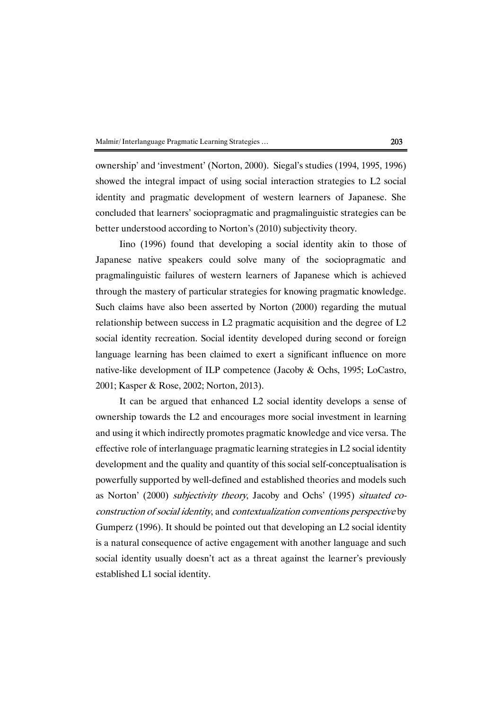ownership' and 'investment' (Norton, 2000). Siegal's studies (1994, 1995, 1996) showed the integral impact of using social interaction strategies to L2 social identity and pragmatic development of western learners of Japanese. She concluded that learners' sociopragmatic and pragmalinguistic strategies can be better understood according to Norton's (2010) subjectivity theory.

Iino (1996) found that developing a social identity akin to those of Japanese native speakers could solve many of the sociopragmatic and pragmalinguistic failures of western learners of Japanese which is achieved through the mastery of particular strategies for knowing pragmatic knowledge. Such claims have also been asserted by Norton (2000) regarding the mutual relationship between success in L2 pragmatic acquisition and the degree of  $L2$ social identity recreation. Social identity developed during second or foreign language learning has been claimed to exert a significant influence on more native-like development of ILP competence (Jacoby & Ochs, 1995; LoCastro, 2001; Kasper & Rose, 2002; Norton, 2013).

It can be argued that enhanced L2 social identity develops a sense of ownership towards the L2 and encourages more social investment in learning and using it which indirectly promotes pragmatic knowledge and vice versa. The effective role of interlanguage pragmatic learning strategies in L2 social identity development and the quality and quantity of this social self-conceptualisation is powerfully supported by well-defined and established theories and models such as Norton' (2000) subjectivity theory, Jacoby and Ochs' (1995) situated coconstruction of social identity, and contextualization conventions perspective by Gumperz (1996). It should be pointed out that developing an L2 social identity is a natural consequence of active engagement with another language and such social identity usually doesn't act as a threat against the learner's previously established L1 social identity.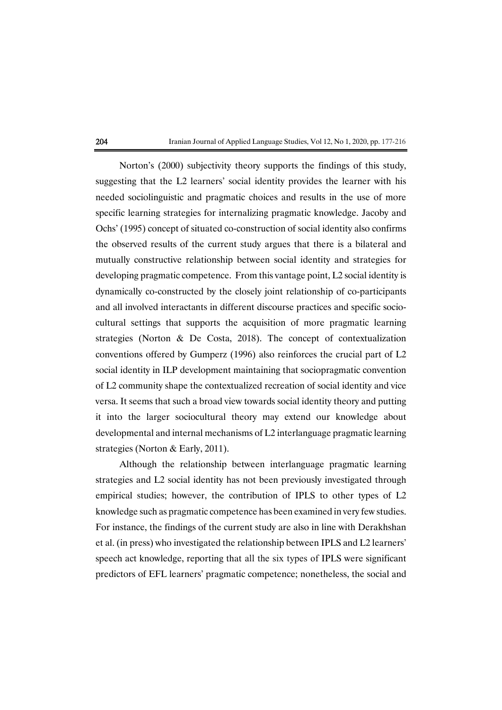Norton's (2000) subjectivity theory supports the findings of this study, suggesting that the L2 learners' social identity provides the learner with his needed sociolinguistic and pragmatic choices and results in the use of more specific learning strategies for internalizing pragmatic knowledge. Jacoby and Ochs' (1995) concept of situated co-construction of social identity also confirms the observed results of the current study argues that there is a bilateral and mutually constructive relationship between social identity and strategies for developing pragmatic competence. From this vantage point, L2 social identity is dynamically co-constructed by the closelyjoint relationship of co-participants and all involved interactants in different discourse practices and specific sociocultural settings that supports the acquisition of more pragmatic learning strategies (Norton & De Costa, 2018). The concept of contextualization conventions offered by Gumperz (1996) also reinforces the crucial part of L2 social identity in ILP development maintaining that sociopragmatic convention of L2 community shape the contextualized recreation of social identity and vice versa. It seems that such a broad view towards social identity theory and putting it into the larger sociocultural theory may extend our knowledge about developmental and internal mechanisms of L2 interlanguage pragmatic learning strategies (Norton & Early, 2011).

Although the relationship between interlanguage pragmatic learning strategies and L2 social identity has not been previously investigated through empirical studies; however, the contribution of IPLS to other types of L2 knowledge such as pragmatic competence has been examined in very few studies. For instance, the findings of the current study are also in line with Derakhshan et al. (in press) who investigated the relationship between IPLS and L2 learners' speech act knowledge, reporting that all the six types of IPLS were significant predictors of EFL learners' pragmatic competence; nonetheless, the social and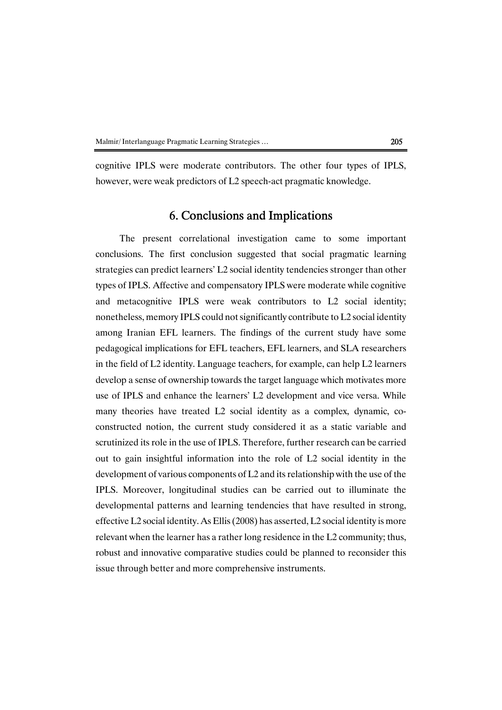cognitive IPLS were moderate contributors. The other four types of IPLS, however, were weak predictors of L2 speech-act pragmatic knowledge.

# 6. Conclusions and Implications

The present correlational investigation came to some important conclusions. The first conclusion suggested that social pragmatic learning strategies can predict learners' L2 social identity tendencies stronger than other types of IPLS. Affective and compensatory IPLS were moderate while cognitive and metacognitive IPLS were weak contributors to L2 social identity; nonetheless, memory IPLS could not significantly contribute to L2 social identity among Iranian EFL learners. The findings of the current study have some pedagogical implications for EFL teachers, EFL learners, and SLA researchers in the field of L2 identity. Language teachers, for example, can help L2 learners develop a sense of ownership towards the target language which motivates more use of IPLS and enhance the learners' L2 development and vice versa. While many theories have treated L2 social identity as a complex, dynamic, coconstructed notion, the current study considered it as a static variable and scrutinized its role in the use of IPLS. Therefore, further research can be carried out to gain insightful information into the role of L2 social identity in the development of various components of  $L2$  and its relationship with the use of the IPLS. Moreover, longitudinal studies can be carried out to illuminate the developmental patterns and learning tendencies that have resulted in strong, effective L2 social identity. As Ellis (2008) has asserted, L2 social identity is more relevant when the learner has a rather long residence in the L2 community; thus, robust and innovative comparative studies could be planned to reconsider this issue through better and more comprehensive instruments.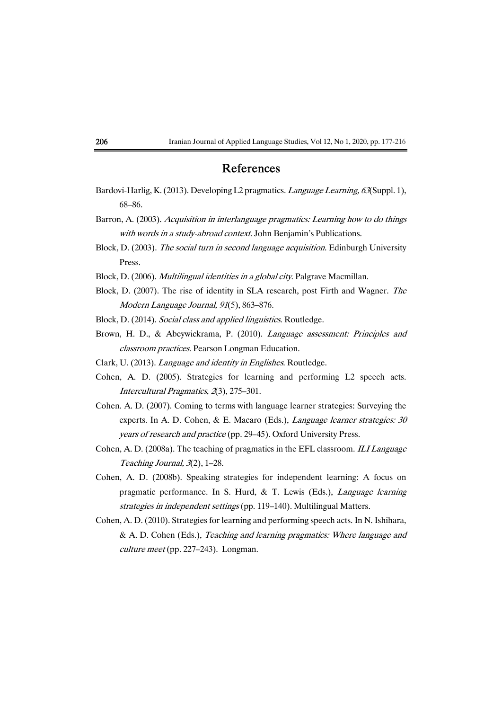# References

- Bardovi-Harlig, K. (2013). Developing L2 pragmatics. *Language Learning, 63* (Suppl. 1), 68–86.
- Barron, A. (2003). Acquisition in interlanguage pragmatics: Learning how to do things with words in a study-abroad context. John Benjamin's Publications.
- Block, D. (2003). The social turn in second language acquisition. Edinburgh University Press.
- Block, D. (2006). *Multilingual identities in a global city*. Palgrave Macmillan.
- Block, D.  $(2007)$ . The rise of identity in SLA research, post Firth and Wagner. The Modern Language Journal, 91(5), 863-876.
- Block, D. (2014). Social class and applied linguistics. Routledge.
- Brown, H. D., & Abeywickrama, P. (2010). Language assessment: Principles and classroom practices. Pearson Longman Education.
- Clark, U. (2013). Language and identity in Englishes. Routledge.
- Cohen, A. D. (2005). Strategies for learning and performing L2 speech acts. Intercultural Pragmatics, 2(3), 275-301.
- Cohen. A. D. (2007). Coming to terms with language learner strategies: Surveying the experts. In A. D. Cohen, & E. Macaro (Eds.), *Language learner strategies: 30* years of research and practice (pp. 29–45). Oxford University Press.
- Cohen, A. D. (2008a). The teaching of pragmatics in the EFL classroom. *ILI Language* Teaching Journal,  $3(2)$ , 1–28.
- Cohen, A. D. (2008b). Speaking strategies for independent learning: A focus on pragmatic performance. In S. Hurd, & T. Lewis (Eds.), Language learning strategies in independent settings (pp. 119–140). Multilingual Matters.
- Cohen, A.D. (2010). Strategies for learning and performing speech acts. In N. Ishihara, & A.D. Cohen (Eds.), Teaching and learning pragmatics: Where language and  $culture meet$ (pp. 227–243). Longman.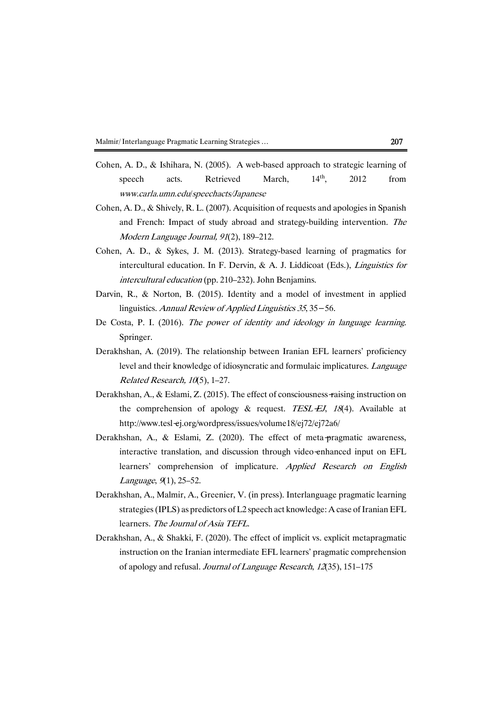- Cohen, A. D., & Ishihara, N. (2005). A web-based approach to strategic learning of speech acts. Retrieved March,  $14<sup>th</sup>$ , 2012 from www.carla.umn.edu/speechacts/Japanese
- Cohen, A. D., & Shively, R. L. (2007). Acquisition of requests and apologies in Spanish and French: Impact of study abroad and strategy-building intervention. The Modern Language Journal, 91(2), 189–212.
- Cohen, A. D., & Sykes, J. M. (2013). Strategy-based learning of pragmatics for intercultural education. In F. Dervin, & A. J. Liddicoat (Eds.), *Linguistics for*  $interval$  education (pp. 210–232). John Benjamins.
- Darvin, R., & Norton, B. (2015). Identity and a model of investment in applied linguistics. Annual Review of Applied Linguistics 35, 35–56.
- De Costa, P. I. (2016). The power of identity and ideology in language learning. Springer.
- Derakhshan, A. (2019). The relationship between Iranian EFL learners' proficiency level and their knowledge of idiosyncratic and formulaic implicatures. Language Related Research,  $10(5)$ , 1-27.
- Derakhshan, A., & Eslami, Z. (2015). The effect of consciousness-raising instruction on the comprehension of apology & request. TESL-EJ, 18(4). Available at http://www.tesl-ej.org/wordpress/issues/volume18/ej72/ej72a6/
- Derakhshan, A., & Eslami, Z. (2020). The effect of meta-pragmatic awareness, interactive translation, and discussion through video-enhanced input on EFL learners' comprehension of implicature. Applied Research on English Language, 9(1), 25-52.
- Derakhshan, A., Malmir, A., Greenier, V. (in press). Interlanguage pragmatic learning strategies (IPLS) as predictors of L2 speech act knowledge: A case of Iranian EFL learners. The Journal of Asia TEFL.
- Derakhshan, A., & Shakki, F. (2020). The effect of implicit vs. explicit metapragmatic instruction on the Iranian intermediate EFL learners' pragmatic comprehension of apology and refusal. Journal of Language Research, 12(35), 151–175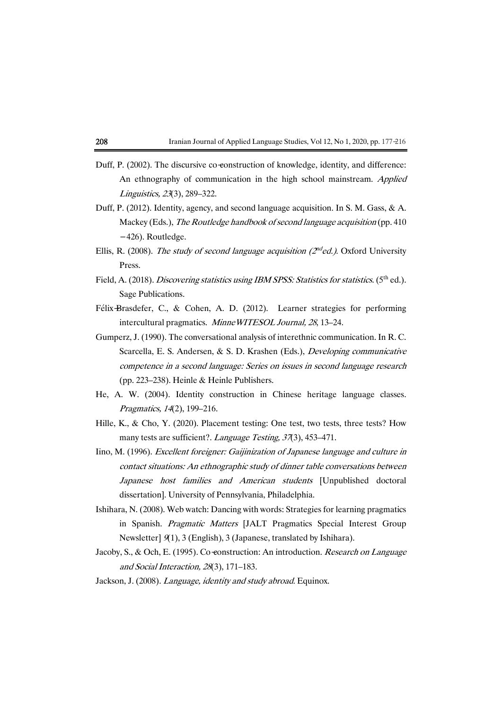- Duff, P. (2002). The discursive co-construction of knowledge, identity, and difference: An ethnography of communication in the high school mainstream. Applied Linguistics,23(3),289–322.
- Duff, P. (2012). Identity, agency, and second language acquisition. In S. M. Gass, & A. Mackey (Eds.), The Routledge handbook of second language acquisition (pp. 410) -426).Routledge.
- Ellis, R. (2008). The study of second language acquisition ( $2^{nd}$ ed.). Oxford University Press.
- Field, A. (2018). Discovering statistics using IBM SPSS: Statistics for statistics. (5<sup>th</sup> ed.). Sage Publications.
- Félix-Brasdefer, C., & Cohen, A. D. (2012). Learner strategies for performing intercultural pragmatics. Minne WITESOL Journal, 28, 13–24.
- Gumperz, J. (1990). The conversational analysis of interethnic communication. In R. C. Scarcella, E. S. Andersen, & S. D. Krashen (Eds.), Developing communicative competence in a second language: Series on issues in second language research (pp. 223–238). Heinle & Heinle Publishers.
- He, A. W. (2004). Identity construction in Chinese heritage language classes. Pragmatics, 14(2), 199-216.
- Hille, K., & Cho, Y. (2020). Placement testing: One test, two tests, three tests? How many tests are sufficient?. Language Testing, 37(3), 453–471.
- Iino, M. (1996). Excellent foreigner: Gaijinization of Japanese language and culture in contact situations: An ethnographic study of dinner table conversations between Japanese host families and American students [Unpublished doctoral dissertation]. University of Pennsylvania, Philadelphia.
- Ishihara, N. (2008). Web watch: Dancing with words: Strategies for learning pragmatics in Spanish. Pragmatic Matters [JALT Pragmatics Special Interest Group Newsletter]  $9(1)$ , 3 (English), 3 (Japanese, translated by Ishihara).
- Jacoby, S., & Och, E. (1995). Co-construction: An introduction. Research on Language and Social Interaction, 28(3), 171-183.

Jackson, J. (2008). Language, identity and study abroad. Equinox.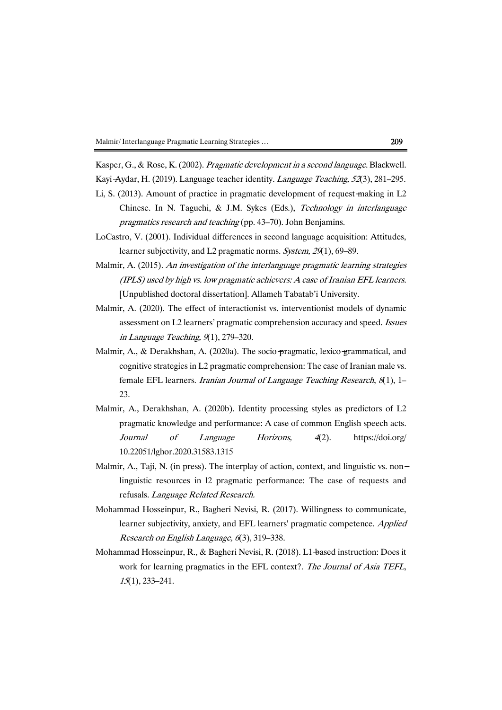Kasper, G., & Rose, K. (2002). Pragmatic development in a second language. Blackwell. Kayi-Aydar, H. (2019). Language teacher identity. Language Teaching, 52(3), 281–295.

- Li, S. (2013). Amount of practice in pragmatic development of request-making in  $L2$ Chinese. In N. Taguchi, & J.M. Sykes (Eds.), Technology in interlanguage pragmatics research and teaching (pp. 43–70). John Benjamins.
- LoCastro, V. (2001). Individual differences in second language acquisition: Attitudes, learner subjectivity, and L2 pragmatic norms. System, 29(1), 69–89.
- Malmir, A. (2015). An investigation of the interlanguage pragmatic learning strategies  $(IPLS)$  used by high vs. low pragmatic achievers: A case of Iranian EFL learners. [Unpublished doctoral dissertation]. Allameh Tabatab'i University.
- Malmir, A. (2020). The effect of interactionist vs. interventionist models of dynamic assessment on L2 learners' pragmatic comprehension accuracy and speed. Issues in Language Teaching,  $9(1)$ , 279–320.
- Malmir, A., & Derakhshan, A. (2020a). The socio-pragmatic, lexico-grammatical, and cognitive strategies in L2 pragmatic comprehension: The case of Iranian male vs. female EFL learners. Iranian Journal of Language Teaching Research,  $8(1)$ , 1– 23.
- Malmir, A., Derakhshan, A. (2020b). Identity processing styles as predictors of L2 pragmatic knowledge and performance: A case of common English speech acts. Journal of Language Horizons, <sup>4</sup>(2). https://doi.org/ 10.22051/lghor.2020.31583.1315
- Malmir, A., Taji, N. (in press). The interplay of action, context, and linguistic vs. nonlinguistic resources in l2 pragmatic performance: The case of requests and refusals. Language Related Research.
- Mohammad Hosseinpur, R., Bagheri Nevisi, R. (2017). Willingness to communicate, learner subjectivity, anxiety, and EFL learners' pragmatic competence. Applied Research on English Language, 6(3), 319–338.
- Mohammad Hosseinpur, R., & Bagheri Nevisi, R. (2018). L1-based instruction: Does it work for learning pragmatics in the EFL context?. The Journal of Asia TEFL, 15(1),233–241.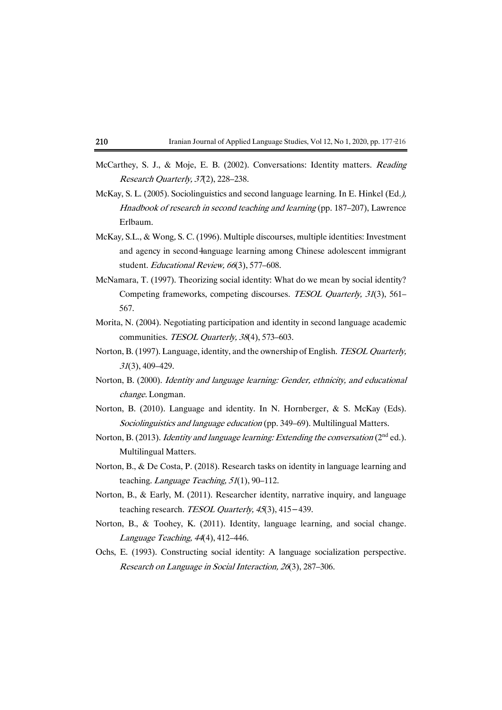- McCarthey, S. J., & Moje, E. B. (2002). Conversations: Identity matters. Reading Research Quarterly, 37(2), 228-238.
- McKay, S. L. (2005). Sociolinguistics and second language learning. In E. Hinkel (Ed.), Hnadbook of research in second teaching and learning (pp. 187–207), Lawrence Erlbaum.
- McKay,S.L.,& Wong,S.C.(1996).Multiple discourses, multiple identities: Investment and agency in second-language learning among Chinese adolescent immigrant student. Educational Review, 66(3), 577-608.
- McNamara, T. (1997). Theorizing social identity: What do we mean by social identity? Competing frameworks, competing discourses. TESOL Quarterly, <sup>31</sup>(3), 561– 567.
- Morita, N. (2004). Negotiating participation and identity in second language academic communities. TESOL Quarterly, 38(4), 573–603.
- Norton, B. (1997). Language, identity, and the ownership of English. TESOL Quarterly, <sup>31</sup>(3),409–429.
- Norton, B. (2000). Identity and language learning: Gender, ethnicity, and educational change. Longman.
- Norton, B. (2010). Language and identity. In N. Hornberger, & S. McKay (Eds). Sociolinguistics and language education (pp. 349–69). Multilingual Matters.
- Norton, B. (2013). Identity and language learning: Extending the conversation (2<sup>nd</sup> ed.). Multilingual Matters.
- Norton, B., & De Costa, P. (2018). Research tasks on identity in language learning and teaching. Language Teaching,  $51(1)$ , 90-112.
- Norton, B., & Early, M. (2011). Researcher identity, narrative inquiry, and language teaching research. TESOL Quarterly, 45(3), 415-439.
- Norton, B., & Toohey, K. (2011). Identity, language learning, and social change. Language Teaching,  $44(4)$ ,  $412-446$ .
- Ochs, E. (1993). Constructing social identity: A language socialization perspective. Research on Language in Social Interaction, 26(3), 287–306.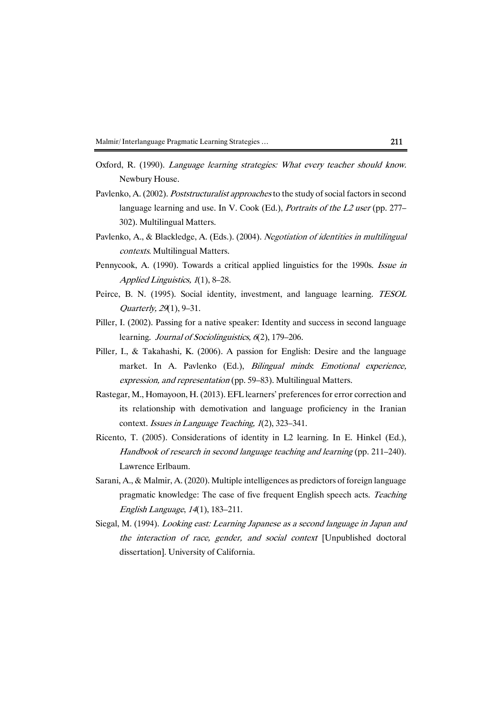- Oxford, R. (1990). Language learning strategies: What every teacher should know. Newbury House.
- Pavlenko, A. (2002). *Poststructuralist approaches* to the study of social factors in second language learning and use. In V. Cook (Ed.), *Portraits of the L2 user* (pp. 277– 302). Multilingual Matters.
- Pavlenko, A., & Blackledge, A. (Eds.). (2004). Negotiation of identities in multilingual contexts. Multilingual Matters.
- Pennycook, A. (1990). Towards a critical applied linguistics for the 1990s. Issue in Applied Linguistics,  $1(1)$ , 8–28.
- Peirce, B. N. (1995). Social identity, investment, and language learning. TESOL Quarterly, 29(1), 9–31.
- Piller, I. (2002). Passing for a native speaker: Identity and success in second language learning. *Journal of Sociolinguistics*,  $6(2)$ , 179–206.
- Piller, I., & Takahashi, K. (2006). A passion for English: Desire and the language market. In A. Pavlenko (Ed.), *Bilingual minds. Emotional experience*, expression, and representation (pp. 59–83). Multilingual Matters.
- Rastegar, M., Homayoon, H. (2013). EFL learners' preferences for error correction and its relationship with demotivation and language proficiency in the Iranian context. Issues in Language Teaching,  $1(2)$ , 323–341.
- Ricento, T. (2005). Considerations of identity in L2 learning. In E. Hinkel (Ed.), Handbook of research in second language teaching and learning (pp. 211–240). Lawrence Erlbaum.
- Sarani, A., & Malmir, A. (2020). Multiple intelligences as predictors of foreign language pragmatic knowledge: The case of five frequent English speech acts. Teaching English Language, 14(1), 183-211.
- Siegal, M. (1994). Looking east: Learning Japanese as a second language in Japan and the interaction of race, gender, and social context [Unpublished doctoral dissertation]. University of California.

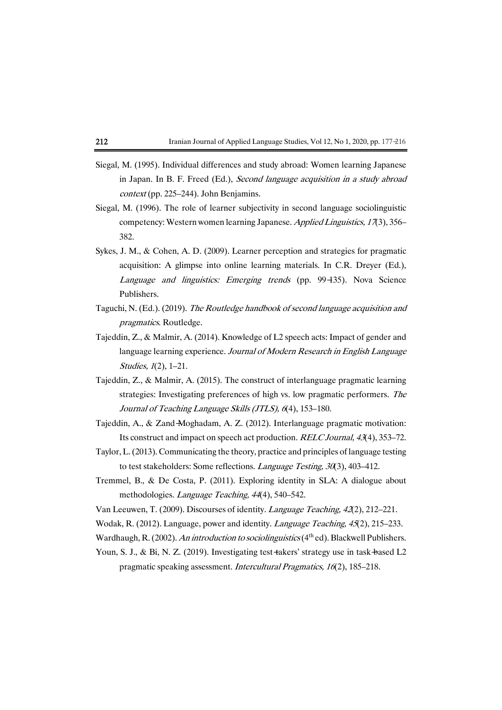- Siegal, M. (1995). Individual differences and study abroad: Women learning Japanese in Japan. In B. F. Freed (Ed.), Second language acquisition in a study abroad  $context$ (pp. 225–244). John Benjamins.
- Siegal,M. (1996). The role of learner subjectivity in second language sociolinguistic competency: Western women learning Japanese. Applied Linguistics, 17(3), 356– 382.
- Sykes, J. M., & Cohen, A. D. (2009). Learner perception and strategies for pragmatic acquisition: A glimpse into online learning materials. In C.R. Dreyer (Ed.), Language and linguistics: Emerging trends (pp. 99-135). Nova Science Publishers.
- Taguchi, N. (Ed.). (2019). The Routledge handbook of second language acquisition and pragmatics. Routledge.
- Tajeddin, Z., & Malmir, A. (2014). Knowledge of L2 speech acts: Impact of gender and language learning experience. Journal of Modern Research in English Language Studies, 1(2), 1-21.
- Tajeddin, Z., & Malmir, A. (2015). The construct of interlanguage pragmatic learning strategies: Investigating preferences of high vs. low pragmatic performers. The Journal of Teaching Language Skills (JTLS), 6(4), 153-180.
- Tajeddin, A., & Zand-Moghadam, A. Z. (2012). Interlanguage pragmatic motivation: Its construct and impact on speech act production. RELCJournal, 43(4), 353–72.
- Taylor, L. (2013). Communicating the theory, practice and principles of language testing to test stakeholders: Some reflections. Language Testing,  $30(3)$ ,  $403-412$ .
- Tremmel, B., & De Costa, P. (2011). Exploring identity in SLA: A dialogue about methodologies. Language Teaching, 44(4), 540–542.
- Van Leeuwen, T. (2009). Discourses of identity. Language Teaching, 42(2), 212–221.
- Wodak, R. (2012). Language, power and identity. Language Teaching, 45(2), 215-233.
- Wardhaugh, R. (2002). An introduction to sociolinguistics ( $4<sup>th</sup>$  ed). Blackwell Publishers.
- Youn, S. J., & Bi, N. Z. (2019). Investigating test-takers' strategy use in task-based L2 pragmatic speaking assessment. Intercultural Pragmatics, 16(2), 185–218.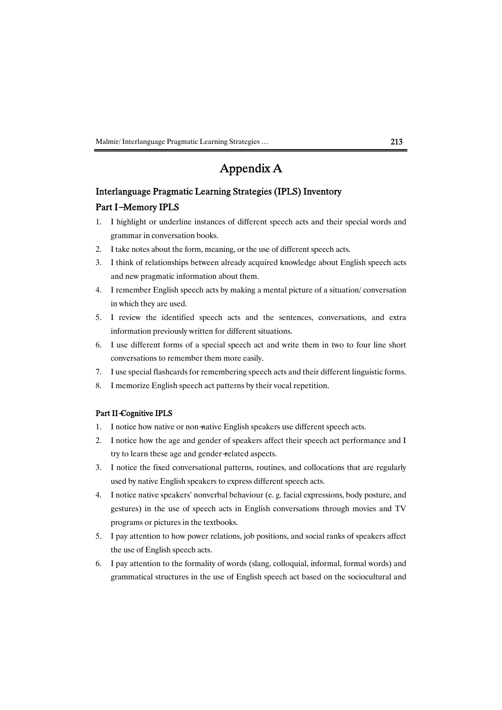Malmir/Interlanguage Pragmatic Learning Strategies ... 213

# AppendixA

## Interlanguage Pragmatic Learning Strategies (IPLS) Inventory

# Part I-Memory IPLS

- 1. I highlight or underline instances of different speech acts and their special words and grammar in conversation books.
- 2. I take notes about the form, meaning, or the use of different speech acts.
- 3. I think of relationships between already acquired knowledge about English speech acts and new pragmatic information about them.
- 4. I remember English speech acts by making a mental picture of a situation/conversation in which they are used.
- 5. I review the identified speech acts and the sentences, conversations, and extra information previously written for different situations.
- 6. I use different forms of a special speech act andwrite themin two to fourline short conversations to remember them more easily.
- 7. Iuse special flashcards for remembering speech acts and their different linguistic forms.
- 8. I memorize English speech act patterns by their vocal repetition.

### Part II-Cognitive IPLS

- 1. I notice how native or non-native English speakers use different speech acts.
- 2. I notice how the age and gender of speakers affect their speech act performance and I try to learn these age and gender-related aspects.
- 3. I notice the fixed conversational patterns, routines, and collocations that are regularly used by native English speakers to express different speech acts.
- 4. I notice native speakers' nonverbal behaviour (e.g. facial expressions, body posture, and gestures) in the use of speech acts in English conversations through movies and TV programs or pictures in the textbooks.
- 5. I pay attention to how power relations, job positions, and social ranks of speakers affect the use of English speech acts.
- 6. I pay attention to the formality of words (slang, colloquial, informal, formal words) and grammatical structures in the use of English speech act based on the sociocultural and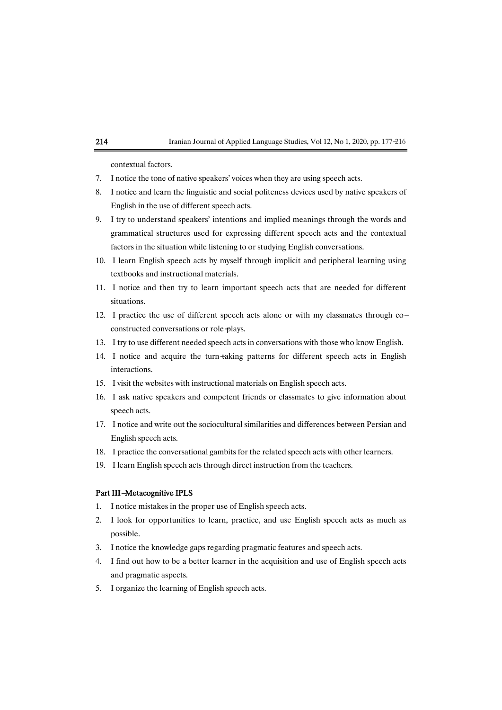contextual factors.

- 7. I notice the tone of native speakers' voices when they are using speech acts.
- 8. I notice and learn the linguistic and social politeness devices used by native speakers of English in the use of different speech acts.
- 9. I try to understand speakers' intentions and implied meanings through the words and grammatical structures used for expressing different speech acts and the contextual factors in the situation while listening to or studying English conversations.
- 10. I learn English speech acts by myself through implicit and peripheral learning using textbooks and instructional materials.
- 11. I notice and then try to learn important speech acts that are needed for different situations.
- 12. I practice the use of different speech acts alone or with my classmates through coconstructed conversations or role-plays.
- 13. I try to use different needed speech acts in conversations with those who know English.
- 14. I notice and acquire the turn-taking patterns for different speech acts in English interactions.
- 15. I visit the websites with instructional materials on English speech acts.
- 16. I ask native speakers and competent friends or classmates to give information about speech acts.
- 17. Inotice and write out the sociocultural similarities and differences between Persian and English speech acts.
- 18. I practice the conversational gambits for the related speech acts with other learners.
- 19. I learn English speech acts through direct instruction from the teachers.

### Part III-Metacognitive IPLS

- 1. I notice mistakes in the proper use of English speech acts.
- 2. I look for opportunities to learn, practice, and use English speech acts as much as possible.
- 3. I notice the knowledge gaps regarding pragmatic features and speech acts.
- 4. I find out how to be a better learner in the acquisition and use of English speech acts and pragmatic aspects.
- 5. I organize the learning of English speech acts.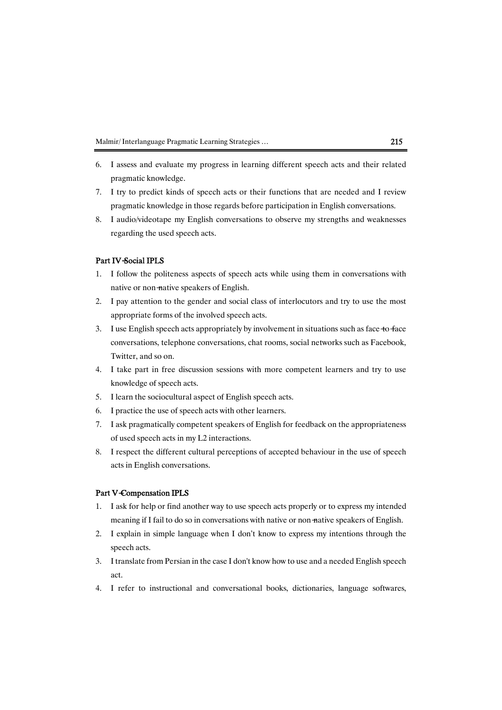- 6. I assess and evaluate my progress in learning different speech acts and their related pragmatic knowledge.
- 7. I try to predict kinds of speech acts or their functions that are needed and I review pragmatic knowledge in those regards before participation in English conversations.
- 8. I audio/videotape myEnglish conversations to observemy strengths and weaknesses regarding the used speech acts.

#### Part IV-Social IPLS

- 1. I follow the politeness aspects of speech acts while using themin conversationswith native or non-native speakers of English.
- 2. I pay attention to the gender and social class of interlocutors and try to use the most appropriate forms of the involved speech acts.
- 3. I use English speech acts appropriately by involvement in situations such as face to face conversations, telephone conversations, chat rooms, social networks such as Facebook, Twitter, and so on.
- 4. I take part in free discussion sessions with more competent learners and try to use knowledge of speech acts.
- 5. I learn the sociocultural aspect of English speech acts.
- 6. I practice the use of speech acts with other learners.
- 7. I ask pragmatically competent speakers of English for feedback on the appropriateness of used speech acts in my L2 interactions.
- 8. I respect the different cultural perceptions of accepted behaviour in the use of speech acts in English conversations.

### Part V-Compensation IPLS

- 1. I ask for help or find another way to use speech acts properly or to express my intended meaning if I fail to do so in conversations with native or non-native speakers of English.
- 2. I explain in simple language when I don't know to express my intentions through the speech acts.
- 3. I translate from Persian in the case I don't know how to use and a needed English speech act.
- 4. I refer to instructional and conversational books, dictionaries, language softwares,